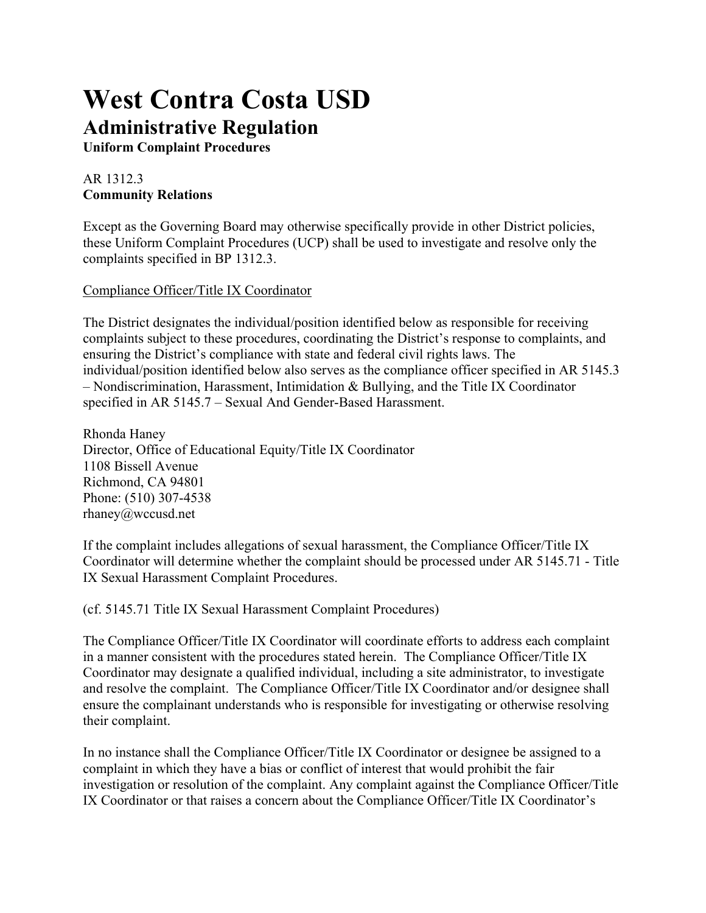# **West Contra Costa USD Administrative Regulation**

**Uniform Complaint Procedures**

## AR 1312.3 **Community Relations**

Except as the Governing Board may otherwise specifically provide in other District policies, these Uniform Complaint Procedures (UCP) shall be used to investigate and resolve only the complaints specified in BP 1312.3.

#### Compliance Officer/Title IX Coordinator

The District designates the individual/position identified below as responsible for receiving complaints subject to these procedures, coordinating the District's response to complaints, and ensuring the District's compliance with state and federal civil rights laws. The individual/position identified below also serves as the compliance officer specified in AR 5145.3 – Nondiscrimination, Harassment, Intimidation & Bullying, and the Title IX Coordinator specified in AR 5145.7 – Sexual And Gender-Based Harassment.

Rhonda Haney Director, Office of Educational Equity/Title IX Coordinator 1108 Bissell Avenue Richmond, CA 94801 Phone: (510) 307-4538 rhaney@wccusd.net

If the complaint includes allegations of sexual harassment, the Compliance Officer/Title IX Coordinator will determine whether the complaint should be processed under AR 5145.71 - Title IX Sexual Harassment Complaint Procedures.

(cf. 5145.71 Title IX Sexual Harassment Complaint Procedures)

The Compliance Officer/Title IX Coordinator will coordinate efforts to address each complaint in a manner consistent with the procedures stated herein. The Compliance Officer/Title IX Coordinator may designate a qualified individual, including a site administrator, to investigate and resolve the complaint. The Compliance Officer/Title IX Coordinator and/or designee shall ensure the complainant understands who is responsible for investigating or otherwise resolving their complaint.

In no instance shall the Compliance Officer/Title IX Coordinator or designee be assigned to a complaint in which they have a bias or conflict of interest that would prohibit the fair investigation or resolution of the complaint. Any complaint against the Compliance Officer/Title IX Coordinator or that raises a concern about the Compliance Officer/Title IX Coordinator's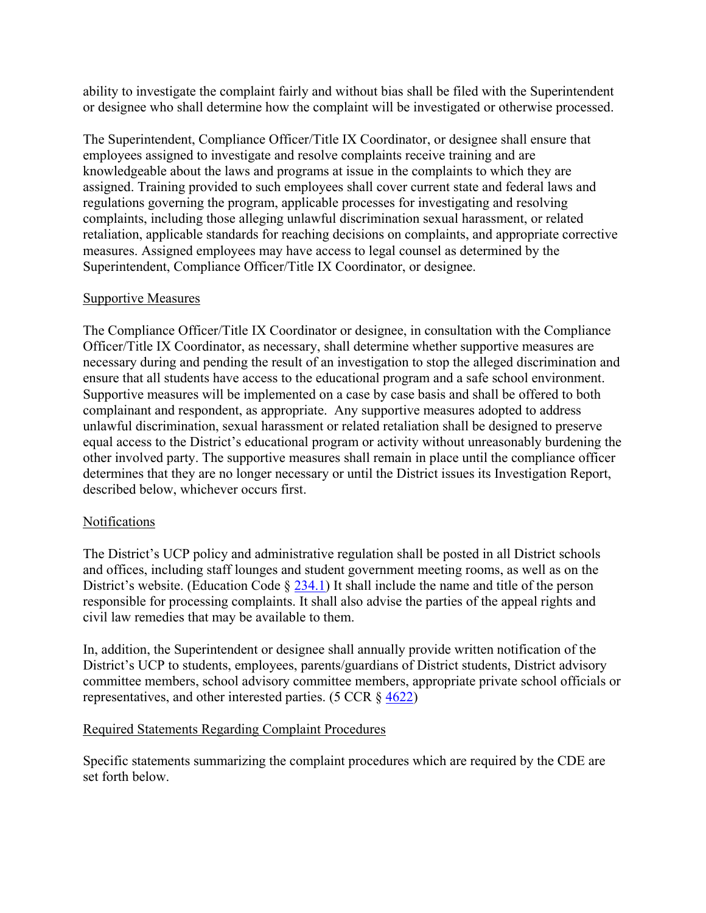ability to investigate the complaint fairly and without bias shall be filed with the Superintendent or designee who shall determine how the complaint will be investigated or otherwise processed.

The Superintendent, Compliance Officer/Title IX Coordinator, or designee shall ensure that employees assigned to investigate and resolve complaints receive training and are knowledgeable about the laws and programs at issue in the complaints to which they are assigned. Training provided to such employees shall cover current state and federal laws and regulations governing the program, applicable processes for investigating and resolving complaints, including those alleging unlawful discrimination sexual harassment, or related retaliation, applicable standards for reaching decisions on complaints, and appropriate corrective measures. Assigned employees may have access to legal counsel as determined by the Superintendent, Compliance Officer/Title IX Coordinator, or designee.

#### Supportive Measures

The Compliance Officer/Title IX Coordinator or designee, in consultation with the Compliance Officer/Title IX Coordinator, as necessary, shall determine whether supportive measures are necessary during and pending the result of an investigation to stop the alleged discrimination and ensure that all students have access to the educational program and a safe school environment. Supportive measures will be implemented on a case by case basis and shall be offered to both complainant and respondent, as appropriate. Any supportive measures adopted to address unlawful discrimination, sexual harassment or related retaliation shall be designed to preserve equal access to the District's educational program or activity without unreasonably burdening the other involved party. The supportive measures shall remain in place until the compliance officer determines that they are no longer necessary or until the District issues its Investigation Report, described below, whichever occurs first.

#### Notifications

The District's UCP policy and administrative regulation shall be posted in all District schools and offices, including staff lounges and student government meeting rooms, as well as on the District's website. (Education Code  $\S$  [234.1\)](http://gamutonline.net/displayPolicy/460631/1) It shall include the name and title of the person responsible for processing complaints. It shall also advise the parties of the appeal rights and civil law remedies that may be available to them.

In, addition, the Superintendent or designee shall annually provide written notification of the District's UCP to students, employees, parents/guardians of District students, District advisory committee members, school advisory committee members, appropriate private school officials or representatives, and other interested parties. (5 CCR § [4622\)](http://gamutonline.net/displayPolicy/187025/1)

#### Required Statements Regarding Complaint Procedures

Specific statements summarizing the complaint procedures which are required by the CDE are set forth below.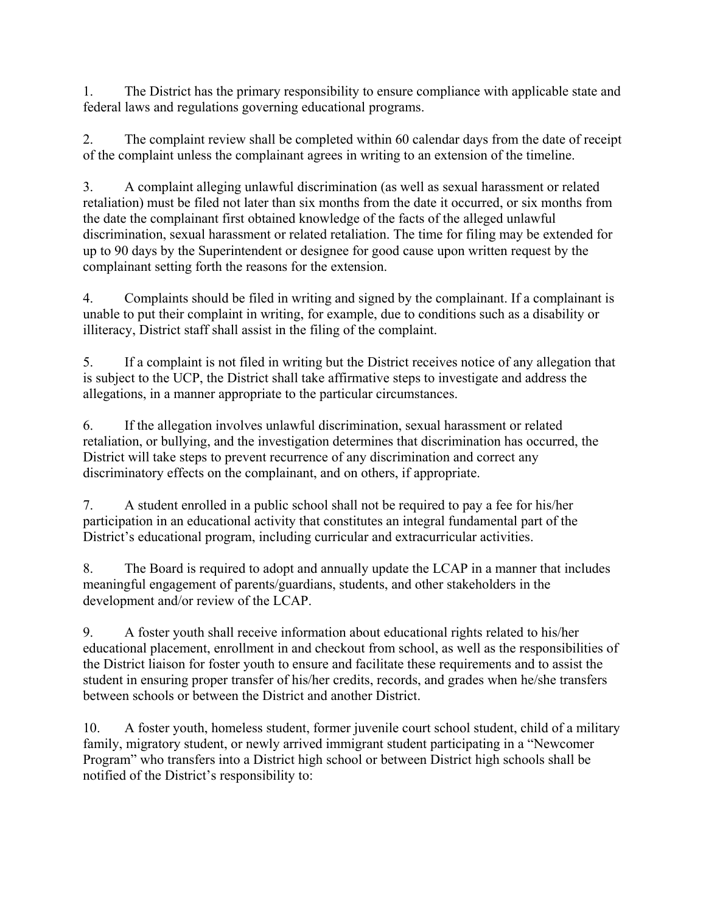1. The District has the primary responsibility to ensure compliance with applicable state and federal laws and regulations governing educational programs.

2. The complaint review shall be completed within 60 calendar days from the date of receipt of the complaint unless the complainant agrees in writing to an extension of the timeline.

3. A complaint alleging unlawful discrimination (as well as sexual harassment or related retaliation) must be filed not later than six months from the date it occurred, or six months from the date the complainant first obtained knowledge of the facts of the alleged unlawful discrimination, sexual harassment or related retaliation. The time for filing may be extended for up to 90 days by the Superintendent or designee for good cause upon written request by the complainant setting forth the reasons for the extension.

4. Complaints should be filed in writing and signed by the complainant. If a complainant is unable to put their complaint in writing, for example, due to conditions such as a disability or illiteracy, District staff shall assist in the filing of the complaint.

5. If a complaint is not filed in writing but the District receives notice of any allegation that is subject to the UCP, the District shall take affirmative steps to investigate and address the allegations, in a manner appropriate to the particular circumstances.

6. If the allegation involves unlawful discrimination, sexual harassment or related retaliation, or bullying, and the investigation determines that discrimination has occurred, the District will take steps to prevent recurrence of any discrimination and correct any discriminatory effects on the complainant, and on others, if appropriate.

7. A student enrolled in a public school shall not be required to pay a fee for his/her participation in an educational activity that constitutes an integral fundamental part of the District's educational program, including curricular and extracurricular activities.

8. The Board is required to adopt and annually update the LCAP in a manner that includes meaningful engagement of parents/guardians, students, and other stakeholders in the development and/or review of the LCAP.

9. A foster youth shall receive information about educational rights related to his/her educational placement, enrollment in and checkout from school, as well as the responsibilities of the District liaison for foster youth to ensure and facilitate these requirements and to assist the student in ensuring proper transfer of his/her credits, records, and grades when he/she transfers between schools or between the District and another District.

10. A foster youth, homeless student, former juvenile court school student, child of a military family, migratory student, or newly arrived immigrant student participating in a "Newcomer Program" who transfers into a District high school or between District high schools shall be notified of the District's responsibility to: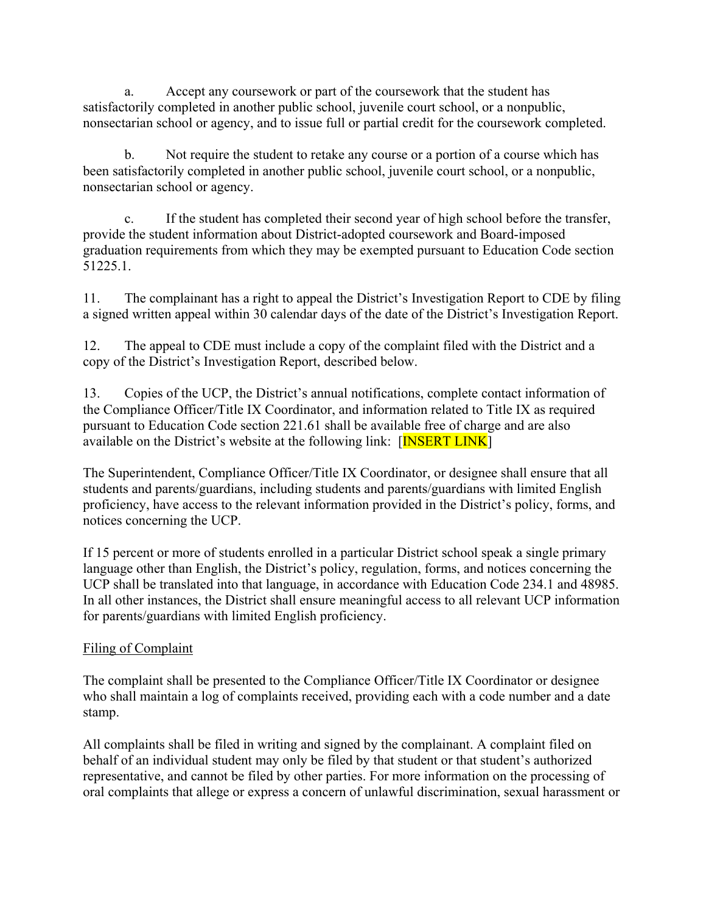a. Accept any coursework or part of the coursework that the student has satisfactorily completed in another public school, juvenile court school, or a nonpublic, nonsectarian school or agency, and to issue full or partial credit for the coursework completed.

b. Not require the student to retake any course or a portion of a course which has been satisfactorily completed in another public school, juvenile court school, or a nonpublic, nonsectarian school or agency.

c. If the student has completed their second year of high school before the transfer, provide the student information about District-adopted coursework and Board-imposed graduation requirements from which they may be exempted pursuant to Education Code section 51225.1.

11. The complainant has a right to appeal the District's Investigation Report to CDE by filing a signed written appeal within 30 calendar days of the date of the District's Investigation Report.

12. The appeal to CDE must include a copy of the complaint filed with the District and a copy of the District's Investigation Report, described below.

13. Copies of the UCP, the District's annual notifications, complete contact information of the Compliance Officer/Title IX Coordinator, and information related to Title IX as required pursuant to Education Code section 221.61 shall be available free of charge and are also available on the District's website at the following link:  $[TNSERT LINK]$ 

The Superintendent, Compliance Officer/Title IX Coordinator, or designee shall ensure that all students and parents/guardians, including students and parents/guardians with limited English proficiency, have access to the relevant information provided in the District's policy, forms, and notices concerning the UCP.

If 15 percent or more of students enrolled in a particular District school speak a single primary language other than English, the District's policy, regulation, forms, and notices concerning the UCP shall be translated into that language, in accordance with Education Code 234.1 and 48985. In all other instances, the District shall ensure meaningful access to all relevant UCP information for parents/guardians with limited English proficiency.

## Filing of Complaint

The complaint shall be presented to the Compliance Officer/Title IX Coordinator or designee who shall maintain a log of complaints received, providing each with a code number and a date stamp.

All complaints shall be filed in writing and signed by the complainant. A complaint filed on behalf of an individual student may only be filed by that student or that student's authorized representative, and cannot be filed by other parties. For more information on the processing of oral complaints that allege or express a concern of unlawful discrimination, sexual harassment or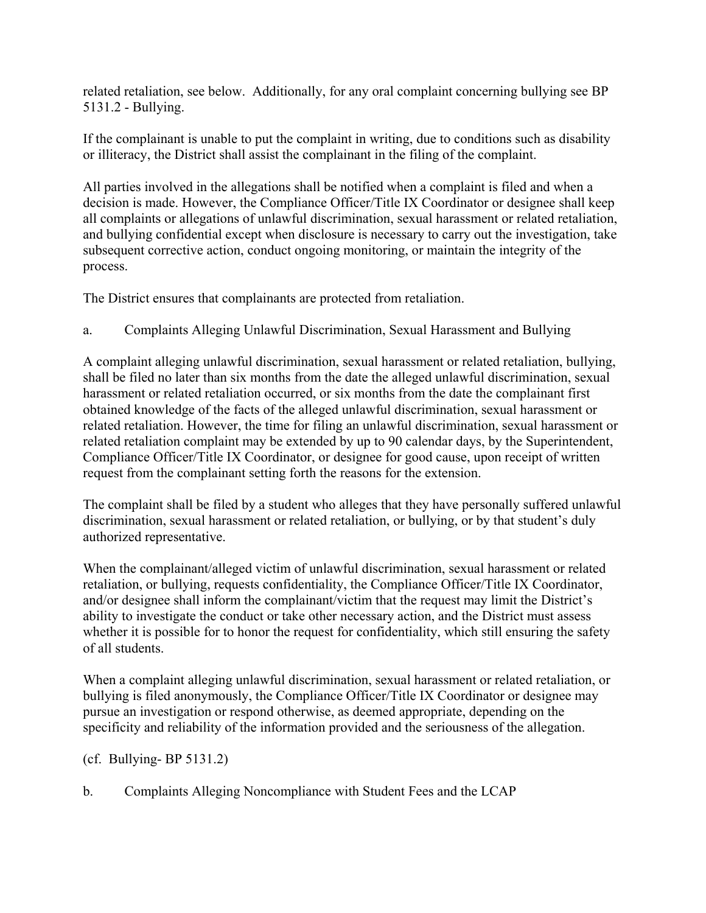related retaliation, see below. Additionally, for any oral complaint concerning bullying see BP 5131.2 - Bullying.

If the complainant is unable to put the complaint in writing, due to conditions such as disability or illiteracy, the District shall assist the complainant in the filing of the complaint.

All parties involved in the allegations shall be notified when a complaint is filed and when a decision is made. However, the Compliance Officer/Title IX Coordinator or designee shall keep all complaints or allegations of unlawful discrimination, sexual harassment or related retaliation, and bullying confidential except when disclosure is necessary to carry out the investigation, take subsequent corrective action, conduct ongoing monitoring, or maintain the integrity of the process.

The District ensures that complainants are protected from retaliation.

a. Complaints Alleging Unlawful Discrimination, Sexual Harassment and Bullying

A complaint alleging unlawful discrimination, sexual harassment or related retaliation, bullying, shall be filed no later than six months from the date the alleged unlawful discrimination, sexual harassment or related retaliation occurred, or six months from the date the complainant first obtained knowledge of the facts of the alleged unlawful discrimination, sexual harassment or related retaliation. However, the time for filing an unlawful discrimination, sexual harassment or related retaliation complaint may be extended by up to 90 calendar days, by the Superintendent, Compliance Officer/Title IX Coordinator, or designee for good cause, upon receipt of written request from the complainant setting forth the reasons for the extension.

The complaint shall be filed by a student who alleges that they have personally suffered unlawful discrimination, sexual harassment or related retaliation, or bullying, or by that student's duly authorized representative.

When the complainant/alleged victim of unlawful discrimination, sexual harassment or related retaliation, or bullying, requests confidentiality, the Compliance Officer/Title IX Coordinator, and/or designee shall inform the complainant/victim that the request may limit the District's ability to investigate the conduct or take other necessary action, and the District must assess whether it is possible for to honor the request for confidentiality, which still ensuring the safety of all students.

When a complaint alleging unlawful discrimination, sexual harassment or related retaliation, or bullying is filed anonymously, the Compliance Officer/Title IX Coordinator or designee may pursue an investigation or respond otherwise, as deemed appropriate, depending on the specificity and reliability of the information provided and the seriousness of the allegation.

(cf. Bullying- BP 5131.2)

b. Complaints Alleging Noncompliance with Student Fees and the LCAP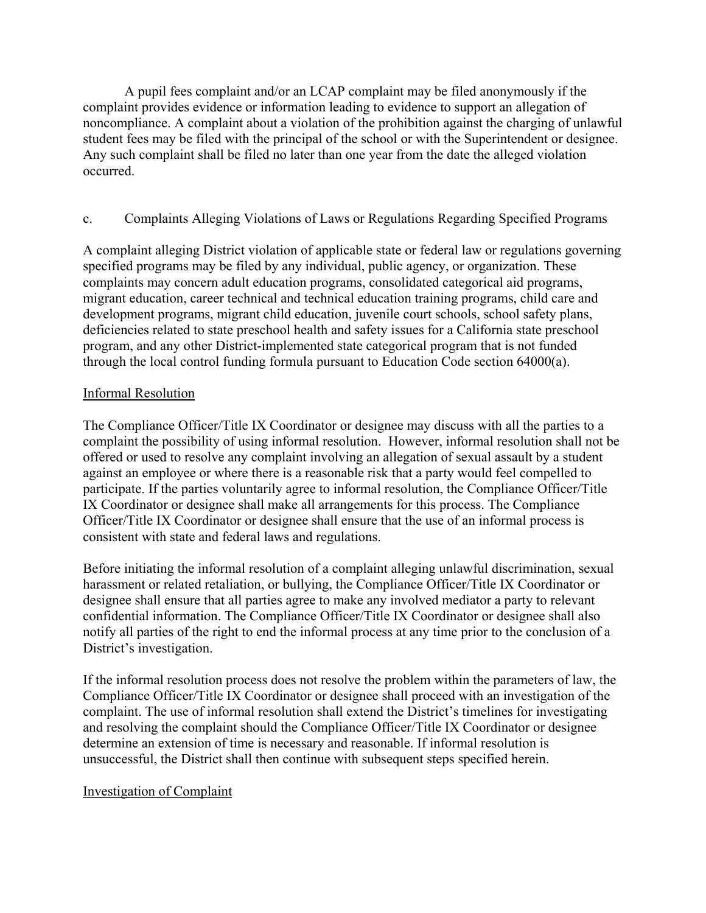A pupil fees complaint and/or an LCAP complaint may be filed anonymously if the complaint provides evidence or information leading to evidence to support an allegation of noncompliance. A complaint about a violation of the prohibition against the charging of unlawful student fees may be filed with the principal of the school or with the Superintendent or designee. Any such complaint shall be filed no later than one year from the date the alleged violation occurred.

### c. Complaints Alleging Violations of Laws or Regulations Regarding Specified Programs

A complaint alleging District violation of applicable state or federal law or regulations governing specified programs may be filed by any individual, public agency, or organization. These complaints may concern adult education programs, consolidated categorical aid programs, migrant education, career technical and technical education training programs, child care and development programs, migrant child education, juvenile court schools, school safety plans, deficiencies related to state preschool health and safety issues for a California state preschool program, and any other District-implemented state categorical program that is not funded through the local control funding formula pursuant to Education Code section 64000(a).

#### Informal Resolution

The Compliance Officer/Title IX Coordinator or designee may discuss with all the parties to a complaint the possibility of using informal resolution. However, informal resolution shall not be offered or used to resolve any complaint involving an allegation of sexual assault by a student against an employee or where there is a reasonable risk that a party would feel compelled to participate. If the parties voluntarily agree to informal resolution, the Compliance Officer/Title IX Coordinator or designee shall make all arrangements for this process. The Compliance Officer/Title IX Coordinator or designee shall ensure that the use of an informal process is consistent with state and federal laws and regulations.

Before initiating the informal resolution of a complaint alleging unlawful discrimination, sexual harassment or related retaliation, or bullying, the Compliance Officer/Title IX Coordinator or designee shall ensure that all parties agree to make any involved mediator a party to relevant confidential information. The Compliance Officer/Title IX Coordinator or designee shall also notify all parties of the right to end the informal process at any time prior to the conclusion of a District's investigation.

If the informal resolution process does not resolve the problem within the parameters of law, the Compliance Officer/Title IX Coordinator or designee shall proceed with an investigation of the complaint. The use of informal resolution shall extend the District's timelines for investigating and resolving the complaint should the Compliance Officer/Title IX Coordinator or designee determine an extension of time is necessary and reasonable. If informal resolution is unsuccessful, the District shall then continue with subsequent steps specified herein.

#### Investigation of Complaint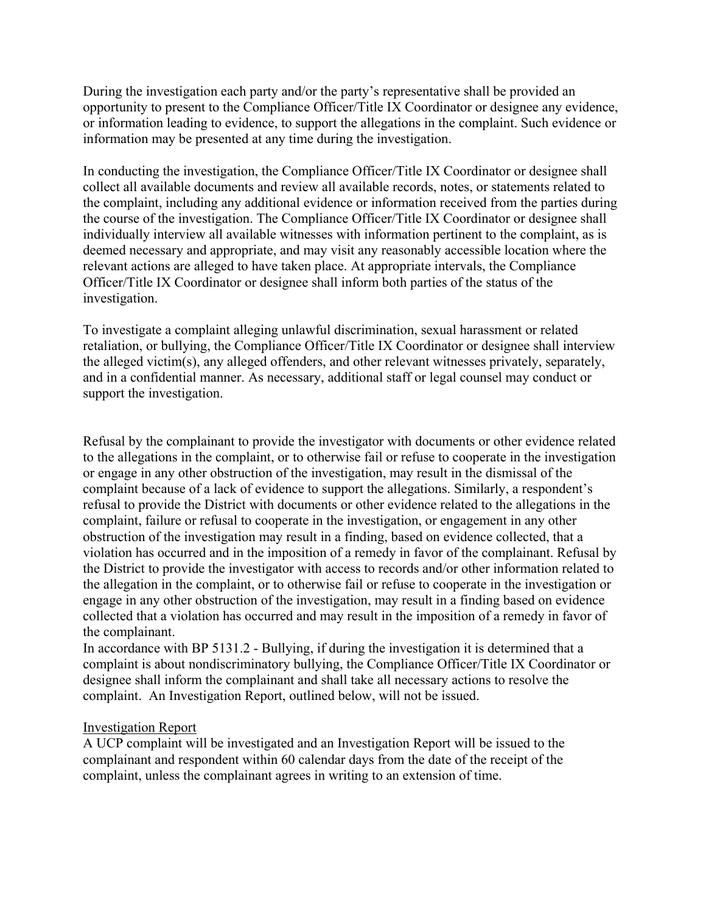During the investigation each party and/or the party's representative shall be provided an opportunity to present to the Compliance Officer/Title IX Coordinator or designee any evidence, or information leading to evidence, to support the allegations in the complaint. Such evidence or information may be presented at any time during the investigation.

In conducting the investigation, the Compliance Officer/Title IX Coordinator or designee shall collect all available documents and review all available records, notes, or statements related to the complaint, including any additional evidence or information received from the parties during the course of the investigation. The Compliance Officer/Title IX Coordinator or designee shall individually interview all available witnesses with information pertinent to the complaint, as is deemed necessary and appropriate, and may visit any reasonably accessible location where the relevant actions are alleged to have taken place. At appropriate intervals, the Compliance Officer/Title IX Coordinator or designee shall inform both parties of the status of the investigation.

To investigate a complaint alleging unlawful discrimination, sexual harassment or related retaliation, or bullying, the Compliance Officer/Title IX Coordinator or designee shall interview the alleged victim(s), any alleged offenders, and other relevant witnesses privately, separately, and in a confidential manner. As necessary, additional staff or legal counsel may conduct or support the investigation.

Refusal by the complainant to provide the investigator with documents or other evidence related to the allegations in the complaint, or to otherwise fail or refuse to cooperate in the investigation or engage in any other obstruction of the investigation, may result in the dismissal of the complaint because of a lack of evidence to support the allegations. Similarly, a respondent's refusal to provide the District with documents or other evidence related to the allegations in the complaint, failure or refusal to cooperate in the investigation, or engagement in any other obstruction of the investigation may result in a finding, based on evidence collected, that a violation has occurred and in the imposition of a remedy in favor of the complainant. Refusal by the District to provide the investigator with access to records and/or other information related to the allegation in the complaint, or to otherwise fail or refuse to cooperate in the investigation or engage in any other obstruction of the investigation, may result in a finding based on evidence collected that a violation has occurred and may result in the imposition of a remedy in favor of the complainant.

In accordance with BP 5131.2 - Bullying, if during the investigation it is determined that a complaint is about nondiscriminatory bullying, the Compliance Officer/Title IX Coordinator or designee shall inform the complainant and shall take all necessary actions to resolve the complaint. An Investigation Report, outlined below, will not be issued.

#### Investigation Report

A UCP complaint will be investigated and an Investigation Report will be issued to the complainant and respondent within 60 calendar days from the date of the receipt of the complaint, unless the complainant agrees in writing to an extension of time.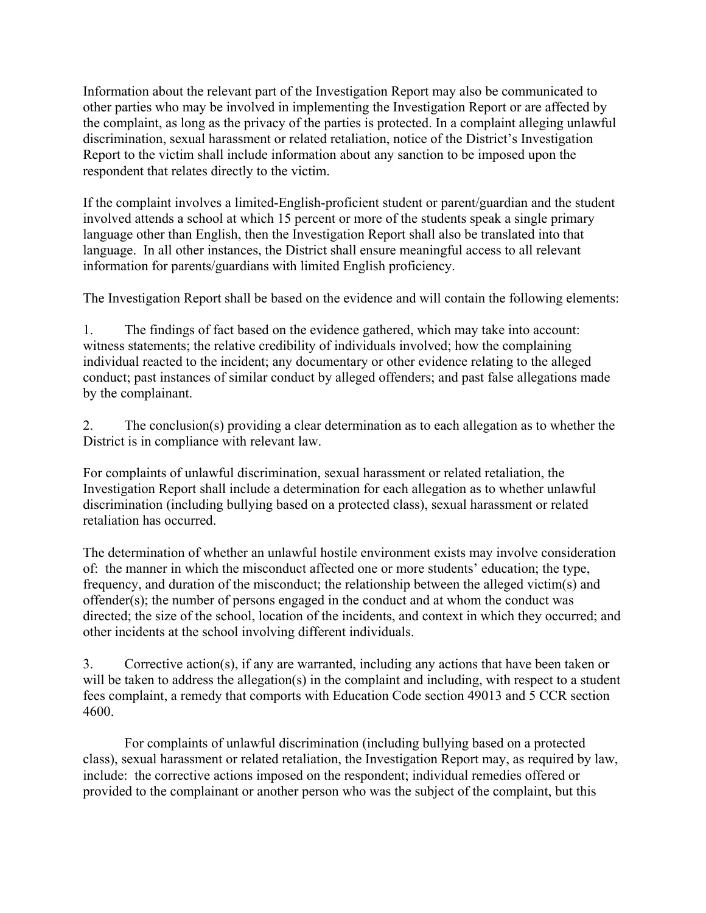Information about the relevant part of the Investigation Report may also be communicated to other parties who may be involved in implementing the Investigation Report or are affected by the complaint, as long as the privacy of the parties is protected. In a complaint alleging unlawful discrimination, sexual harassment or related retaliation, notice of the District's Investigation Report to the victim shall include information about any sanction to be imposed upon the respondent that relates directly to the victim.

If the complaint involves a limited-English-proficient student or parent/guardian and the student involved attends a school at which 15 percent or more of the students speak a single primary language other than English, then the Investigation Report shall also be translated into that language. In all other instances, the District shall ensure meaningful access to all relevant information for parents/guardians with limited English proficiency.

The Investigation Report shall be based on the evidence and will contain the following elements:

1. The findings of fact based on the evidence gathered, which may take into account: witness statements; the relative credibility of individuals involved; how the complaining individual reacted to the incident; any documentary or other evidence relating to the alleged conduct; past instances of similar conduct by alleged offenders; and past false allegations made by the complainant.

2. The conclusion(s) providing a clear determination as to each allegation as to whether the District is in compliance with relevant law.

For complaints of unlawful discrimination, sexual harassment or related retaliation, the Investigation Report shall include a determination for each allegation as to whether unlawful discrimination (including bullying based on a protected class), sexual harassment or related retaliation has occurred.

The determination of whether an unlawful hostile environment exists may involve consideration of: the manner in which the misconduct affected one or more students' education; the type, frequency, and duration of the misconduct; the relationship between the alleged victim(s) and offender(s); the number of persons engaged in the conduct and at whom the conduct was directed; the size of the school, location of the incidents, and context in which they occurred; and other incidents at the school involving different individuals.

3. Corrective action(s), if any are warranted, including any actions that have been taken or will be taken to address the allegation(s) in the complaint and including, with respect to a student fees complaint, a remedy that comports with Education Code section 49013 and 5 CCR section 4600.

For complaints of unlawful discrimination (including bullying based on a protected class), sexual harassment or related retaliation, the Investigation Report may, as required by law, include: the corrective actions imposed on the respondent; individual remedies offered or provided to the complainant or another person who was the subject of the complaint, but this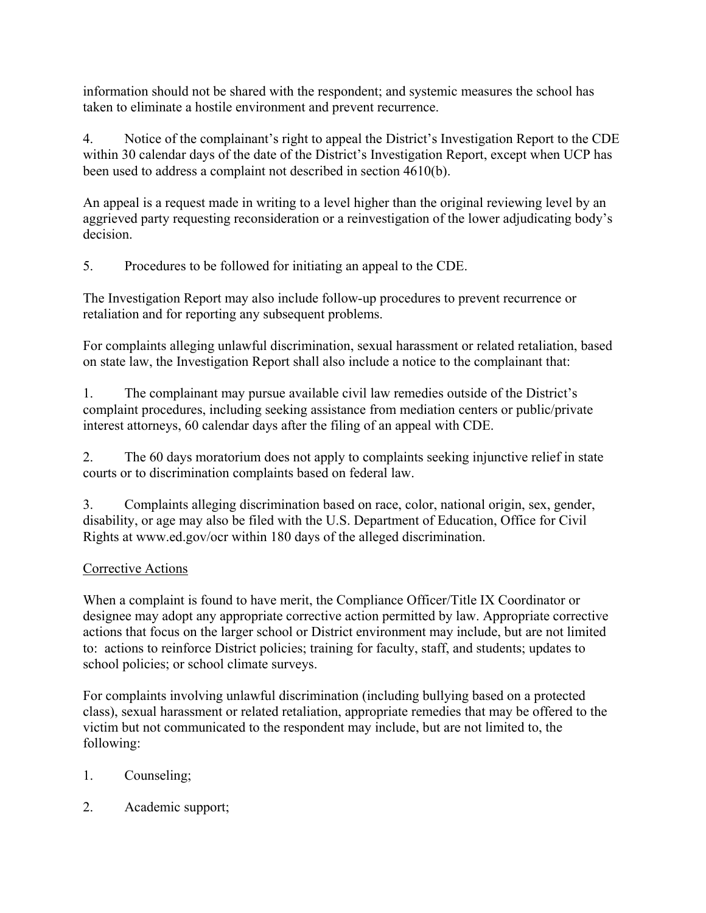information should not be shared with the respondent; and systemic measures the school has taken to eliminate a hostile environment and prevent recurrence.

4. Notice of the complainant's right to appeal the District's Investigation Report to the CDE within 30 calendar days of the date of the District's Investigation Report, except when UCP has been used to address a complaint not described in section 4610(b).

An appeal is a request made in writing to a level higher than the original reviewing level by an aggrieved party requesting reconsideration or a reinvestigation of the lower adjudicating body's decision.

5. Procedures to be followed for initiating an appeal to the CDE.

The Investigation Report may also include follow-up procedures to prevent recurrence or retaliation and for reporting any subsequent problems.

For complaints alleging unlawful discrimination, sexual harassment or related retaliation, based on state law, the Investigation Report shall also include a notice to the complainant that:

1. The complainant may pursue available civil law remedies outside of the District's complaint procedures, including seeking assistance from mediation centers or public/private interest attorneys, 60 calendar days after the filing of an appeal with CDE.

2. The 60 days moratorium does not apply to complaints seeking injunctive relief in state courts or to discrimination complaints based on federal law.

3. Complaints alleging discrimination based on race, color, national origin, sex, gender, disability, or age may also be filed with the U.S. Department of Education, Office for Civil Rights at www.ed.gov/ocr within 180 days of the alleged discrimination.

# Corrective Actions

When a complaint is found to have merit, the Compliance Officer/Title IX Coordinator or designee may adopt any appropriate corrective action permitted by law. Appropriate corrective actions that focus on the larger school or District environment may include, but are not limited to: actions to reinforce District policies; training for faculty, staff, and students; updates to school policies; or school climate surveys.

For complaints involving unlawful discrimination (including bullying based on a protected class), sexual harassment or related retaliation, appropriate remedies that may be offered to the victim but not communicated to the respondent may include, but are not limited to, the following:

- 1. Counseling;
- 2. Academic support;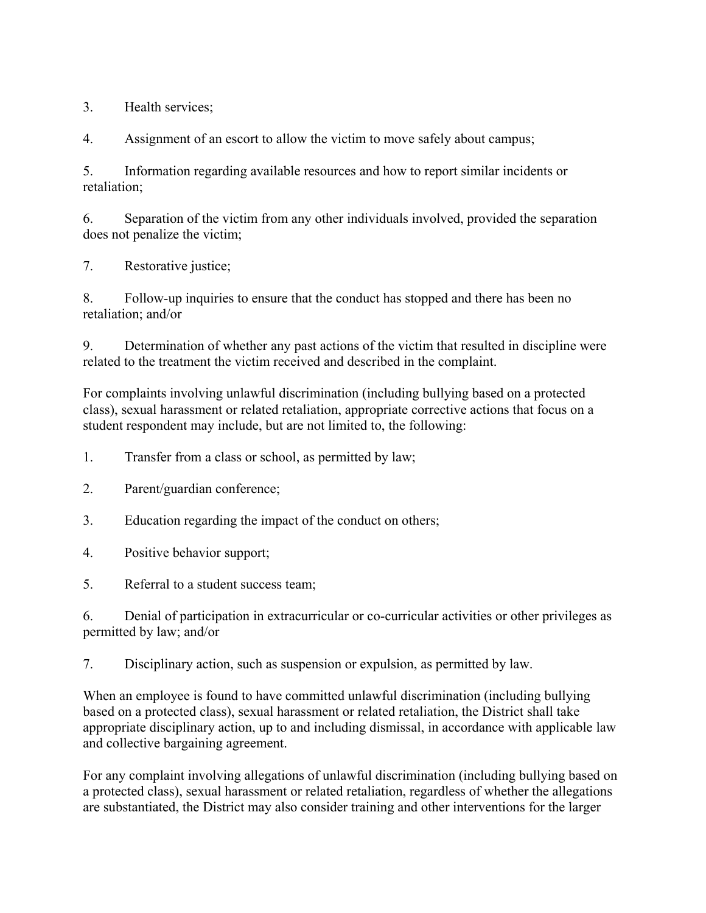3. Health services;

4. Assignment of an escort to allow the victim to move safely about campus;

5. Information regarding available resources and how to report similar incidents or retaliation;

6. Separation of the victim from any other individuals involved, provided the separation does not penalize the victim;

7. Restorative justice;

8. Follow-up inquiries to ensure that the conduct has stopped and there has been no retaliation; and/or

9. Determination of whether any past actions of the victim that resulted in discipline were related to the treatment the victim received and described in the complaint.

For complaints involving unlawful discrimination (including bullying based on a protected class), sexual harassment or related retaliation, appropriate corrective actions that focus on a student respondent may include, but are not limited to, the following:

- 1. Transfer from a class or school, as permitted by law;
- 2. Parent/guardian conference;
- 3. Education regarding the impact of the conduct on others;
- 4. Positive behavior support;
- 5. Referral to a student success team;

6. Denial of participation in extracurricular or co-curricular activities or other privileges as permitted by law; and/or

7. Disciplinary action, such as suspension or expulsion, as permitted by law.

When an employee is found to have committed unlawful discrimination (including bullying based on a protected class), sexual harassment or related retaliation, the District shall take appropriate disciplinary action, up to and including dismissal, in accordance with applicable law and collective bargaining agreement.

For any complaint involving allegations of unlawful discrimination (including bullying based on a protected class), sexual harassment or related retaliation, regardless of whether the allegations are substantiated, the District may also consider training and other interventions for the larger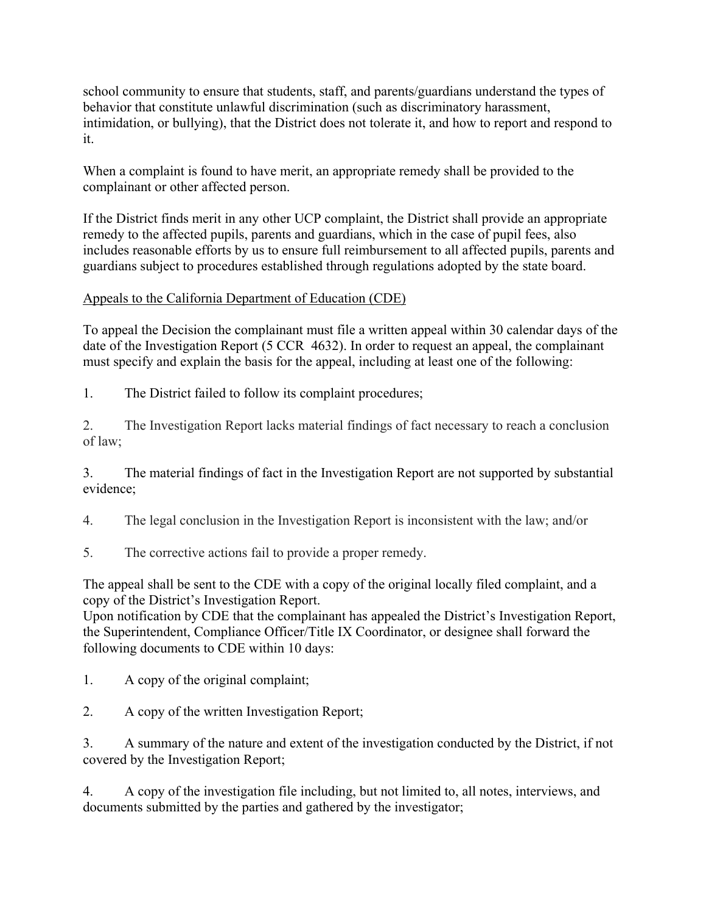school community to ensure that students, staff, and parents/guardians understand the types of behavior that constitute unlawful discrimination (such as discriminatory harassment, intimidation, or bullying), that the District does not tolerate it, and how to report and respond to it.

When a complaint is found to have merit, an appropriate remedy shall be provided to the complainant or other affected person.

If the District finds merit in any other UCP complaint, the District shall provide an appropriate remedy to the affected pupils, parents and guardians, which in the case of pupil fees, also includes reasonable efforts by us to ensure full reimbursement to all affected pupils, parents and guardians subject to procedures established through regulations adopted by the state board.

## Appeals to the California Department of Education (CDE)

To appeal the Decision the complainant must file a written appeal within 30 calendar days of the date of the Investigation Report (5 CCR 4632). In order to request an appeal, the complainant must specify and explain the basis for the appeal, including at least one of the following:

1. The District failed to follow its complaint procedures;

2. The Investigation Report lacks material findings of fact necessary to reach a conclusion of law;

3. The material findings of fact in the Investigation Report are not supported by substantial evidence;

4. The legal conclusion in the Investigation Report is inconsistent with the law; and/or

5. The corrective actions fail to provide a proper remedy.

The appeal shall be sent to the CDE with a copy of the original locally filed complaint, and a copy of the District's Investigation Report.

Upon notification by CDE that the complainant has appealed the District's Investigation Report, the Superintendent, Compliance Officer/Title IX Coordinator, or designee shall forward the following documents to CDE within 10 days:

1. A copy of the original complaint;

2. A copy of the written Investigation Report;

3. A summary of the nature and extent of the investigation conducted by the District, if not covered by the Investigation Report;

4. A copy of the investigation file including, but not limited to, all notes, interviews, and documents submitted by the parties and gathered by the investigator;